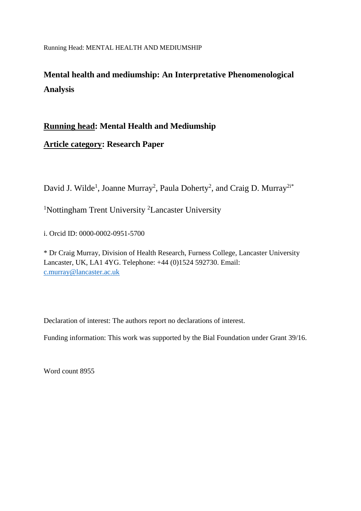Running Head: MENTAL HEALTH AND MEDIUMSHIP

# **Mental health and mediumship: An Interpretative Phenomenological Analysis**

# **Running head: Mental Health and Mediumship**

# **Article category: Research Paper**

David J. Wilde<sup>1</sup>, Joanne Murray<sup>2</sup>, Paula Doherty<sup>2</sup>, and Craig D. Murray<sup>2i\*</sup>

<sup>1</sup>Nottingham Trent University <sup>2</sup>Lancaster University

i. Orcid ID: 0000-0002-0951-5700

\* Dr Craig Murray, Division of Health Research, Furness College, Lancaster University Lancaster, UK, LA1 4YG. Telephone: +44 (0)1524 592730. Email: [c.murray@lancaster.ac.uk](mailto:c.murray@lancaster.ac.uk)

Declaration of interest: The authors report no declarations of interest.

Funding information: This work was supported by the Bial Foundation under Grant 39/16.

Word count 8955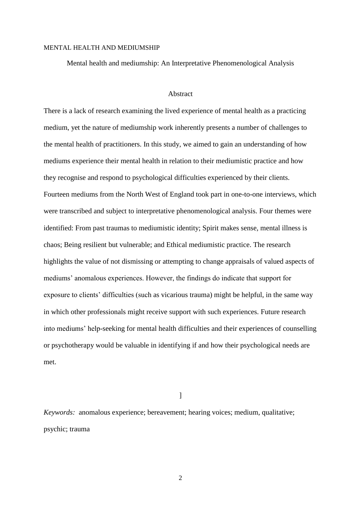Mental health and mediumship: An Interpretative Phenomenological Analysis

#### Abstract

There is a lack of research examining the lived experience of mental health as a practicing medium, yet the nature of mediumship work inherently presents a number of challenges to the mental health of practitioners. In this study, we aimed to gain an understanding of how mediums experience their mental health in relation to their mediumistic practice and how they recognise and respond to psychological difficulties experienced by their clients. Fourteen mediums from the North West of England took part in one-to-one interviews, which were transcribed and subject to interpretative phenomenological analysis. Four themes were identified: From past traumas to mediumistic identity; Spirit makes sense, mental illness is chaos; Being resilient but vulnerable; and Ethical mediumistic practice. The research highlights the value of not dismissing or attempting to change appraisals of valued aspects of mediums' anomalous experiences. However, the findings do indicate that support for exposure to clients' difficulties (such as vicarious trauma) might be helpful, in the same way in which other professionals might receive support with such experiences. Future research into mediums' help-seeking for mental health difficulties and their experiences of counselling or psychotherapy would be valuable in identifying if and how their psychological needs are met.

 $\overline{1}$ 

*Keywords:* anomalous experience; bereavement; hearing voices; medium, qualitative; psychic; trauma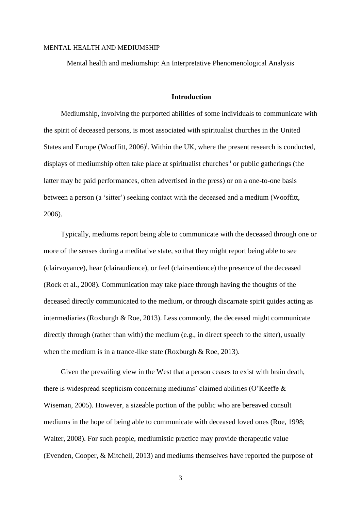Mental health and mediumship: An Interpretative Phenomenological Analysis

# **Introduction**

Mediumship, involving the purported abilities of some individuals to communicate with the spirit of deceased persons, is most associated with spiritualist churches in the United States and Europe (Wooffitt,  $2006$ <sup>i</sup>. Within the UK, where the present research is conducted, displays of mediumship often take place at spiritualist churches<sup>ii</sup> or public gatherings (the latter may be paid performances, often advertised in the press) or on a one-to-one basis between a person (a 'sitter') seeking contact with the deceased and a medium (Wooffitt, 2006).

Typically, mediums report being able to communicate with the deceased through one or more of the senses during a meditative state, so that they might report being able to see (clairvoyance), hear (clairaudience), or feel (clairsentience) the presence of the deceased (Rock et al., 2008). Communication may take place through having the thoughts of the deceased directly communicated to the medium, or through discarnate spirit guides acting as intermediaries (Roxburgh & Roe, 2013). Less commonly, the deceased might communicate directly through (rather than with) the medium (e.g., in direct speech to the sitter), usually when the medium is in a trance-like state (Roxburgh & Roe, 2013).

Given the prevailing view in the West that a person ceases to exist with brain death, there is widespread scepticism concerning mediums' claimed abilities (O'Keeffe & Wiseman, 2005). However, a sizeable portion of the public who are bereaved consult mediums in the hope of being able to communicate with deceased loved ones (Roe, 1998; Walter, 2008). For such people, mediumistic practice may provide therapeutic value (Evenden, Cooper, & Mitchell, 2013) and mediums themselves have reported the purpose of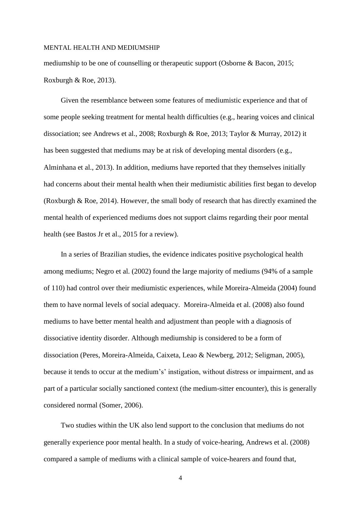mediumship to be one of counselling or therapeutic support (Osborne & Bacon, 2015; Roxburgh & Roe, 2013).

Given the resemblance between some features of mediumistic experience and that of some people seeking treatment for mental health difficulties (e.g., hearing voices and clinical dissociation; see Andrews et al., 2008; Roxburgh & Roe, 2013; Taylor & Murray, 2012) it has been suggested that mediums may be at risk of developing mental disorders (e.g., Alminhana et al., 2013). In addition, mediums have reported that they themselves initially had concerns about their mental health when their mediumistic abilities first began to develop (Roxburgh & Roe, 2014). However, the small body of research that has directly examined the mental health of experienced mediums does not support claims regarding their poor mental health (see Bastos Jr et al., 2015 for a review).

In a series of Brazilian studies, the evidence indicates positive psychological health among mediums; Negro et al. (2002) found the large majority of mediums (94% of a sample of 110) had control over their mediumistic experiences, while Moreira-Almeida (2004) found them to have normal levels of social adequacy. Moreira-Almeida et al. (2008) also found mediums to have better mental health and adjustment than people with a diagnosis of dissociative identity disorder. Although mediumship is considered to be a form of dissociation (Peres, Moreira-Almeida, Caixeta, Leao & Newberg, 2012; Seligman, 2005), because it tends to occur at the medium's' instigation, without distress or impairment, and as part of a particular socially sanctioned context (the medium-sitter encounter), this is generally considered normal (Somer, 2006).

Two studies within the UK also lend support to the conclusion that mediums do not generally experience poor mental health. In a study of voice-hearing, Andrews et al. (2008) compared a sample of mediums with a clinical sample of voice-hearers and found that,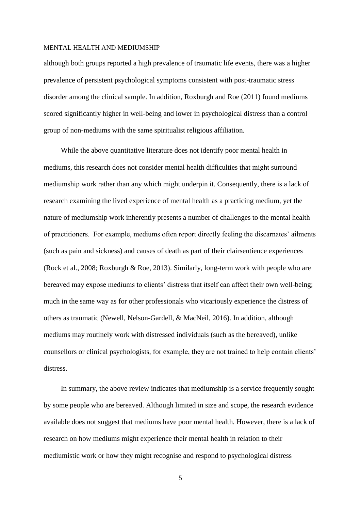although both groups reported a high prevalence of traumatic life events, there was a higher prevalence of persistent psychological symptoms consistent with post-traumatic stress disorder among the clinical sample. In addition, Roxburgh and Roe (2011) found mediums scored significantly higher in well-being and lower in psychological distress than a control group of non-mediums with the same spiritualist religious affiliation.

While the above quantitative literature does not identify poor mental health in mediums, this research does not consider mental health difficulties that might surround mediumship work rather than any which might underpin it. Consequently, there is a lack of research examining the lived experience of mental health as a practicing medium, yet the nature of mediumship work inherently presents a number of challenges to the mental health of practitioners. For example, mediums often report directly feeling the discarnates' ailments (such as pain and sickness) and causes of death as part of their clairsentience experiences (Rock et al., 2008; Roxburgh & Roe, 2013). Similarly, long-term work with people who are bereaved may expose mediums to clients' distress that itself can affect their own well-being; much in the same way as for other professionals who vicariously experience the distress of others as traumatic (Newell, Nelson-Gardell, & MacNeil, 2016). In addition, although mediums may routinely work with distressed individuals (such as the bereaved), unlike counsellors or clinical psychologists, for example, they are not trained to help contain clients' distress.

In summary, the above review indicates that mediumship is a service frequently sought by some people who are bereaved. Although limited in size and scope, the research evidence available does not suggest that mediums have poor mental health. However, there is a lack of research on how mediums might experience their mental health in relation to their mediumistic work or how they might recognise and respond to psychological distress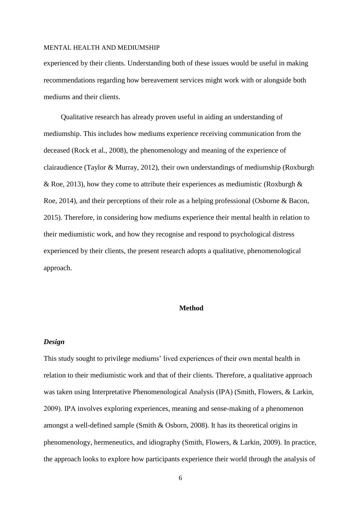experienced by their clients. Understanding both of these issues would be useful in making recommendations regarding how bereavement services might work with or alongside both mediums and their clients.

Qualitative research has already proven useful in aiding an understanding of mediumship. This includes how mediums experience receiving communication from the deceased (Rock et al., 2008), the phenomenology and meaning of the experience of clairaudience (Taylor & Murray, 2012), their own understandings of mediumship (Roxburgh & Roe, 2013), how they come to attribute their experiences as mediumistic (Roxburgh  $\&$ Roe, 2014), and their perceptions of their role as a helping professional (Osborne & Bacon, 2015). Therefore, in considering how mediums experience their mental health in relation to their mediumistic work, and how they recognise and respond to psychological distress experienced by their clients, the present research adopts a qualitative, phenomenological approach.

### **Method**

# *Design*

This study sought to privilege mediums' lived experiences of their own mental health in relation to their mediumistic work and that of their clients. Therefore, a qualitative approach was taken using Interpretative Phenomenological Analysis (IPA) (Smith, Flowers, & Larkin, 2009). IPA involves exploring experiences, meaning and sense-making of a phenomenon amongst a well-defined sample (Smith & Osborn, 2008). It has its theoretical origins in phenomenology, hermeneutics, and idiography (Smith, Flowers, & Larkin, 2009). In practice, the approach looks to explore how participants experience their world through the analysis of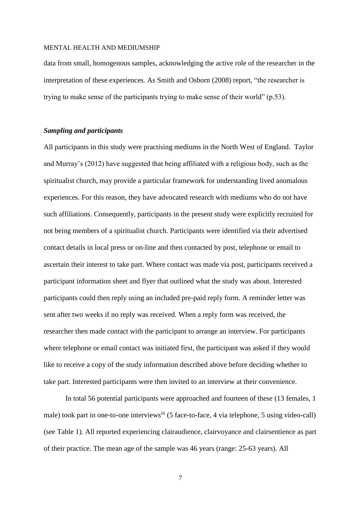data from small, homogenous samples, acknowledging the active role of the researcher in the interpretation of these experiences. As Smith and Osborn (2008) report, "the researcher is trying to make sense of the participants trying to make sense of their world" (p.53).

# *Sampling and participants*

All participants in this study were practising mediums in the North West of England. Taylor and Murray's (2012) have suggested that being affiliated with a religious body, such as the spiritualist church, may provide a particular framework for understanding lived anomalous experiences. For this reason, they have advocated research with mediums who do not have such affiliations. Consequently, participants in the present study were explicitly recruited for not being members of a spiritualist church. Participants were identified via their advertised contact details in local press or on-line and then contacted by post, telephone or email to ascertain their interest to take part. Where contact was made via post, participants received a participant information sheet and flyer that outlined what the study was about. Interested participants could then reply using an included pre-paid reply form. A reminder letter was sent after two weeks if no reply was received. When a reply form was received, the researcher then made contact with the participant to arrange an interview. For participants where telephone or email contact was initiated first, the participant was asked if they would like to receive a copy of the study information described above before deciding whether to take part. Interested participants were then invited to an interview at their convenience.

In total 56 potential participants were approached and fourteen of these (13 females, 1 male) took part in one-to-one interviews<sup>iii</sup> (5 face-to-face, 4 via telephone, 5 using video-call) (see Table 1). All reported experiencing clairaudience, clairvoyance and clairsentience as part of their practice. The mean age of the sample was 46 years (range: 25-63 years). All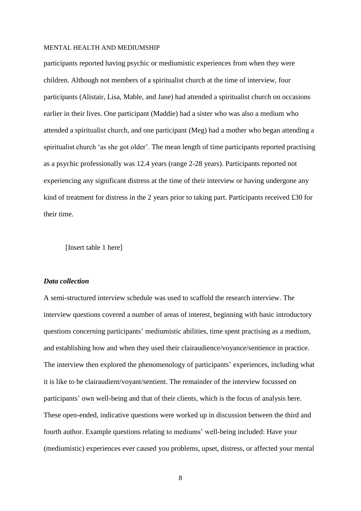participants reported having psychic or mediumistic experiences from when they were children. Although not members of a spiritualist church at the time of interview, four participants (Alistair, Lisa, Mable, and Jane) had attended a spiritualist church on occasions earlier in their lives. One participant (Maddie) had a sister who was also a medium who attended a spiritualist church, and one participant (Meg) had a mother who began attending a spiritualist church 'as she got older'. The mean length of time participants reported practising as a psychic professionally was 12.4 years (range 2-28 years). Participants reported not experiencing any significant distress at the time of their interview or having undergone any kind of treatment for distress in the 2 years prior to taking part. Participants received £30 for their time.

[Insert table 1 here]

#### *Data collection*

A semi-structured interview schedule was used to scaffold the research interview. The interview questions covered a number of areas of interest, beginning with basic introductory questions concerning participants' mediumistic abilities, time spent practising as a medium, and establishing how and when they used their clairaudience/voyance/sentience in practice. The interview then explored the phenomenology of participants' experiences, including what it is like to be clairaudient/voyant/sentient. The remainder of the interview focussed on participants' own well-being and that of their clients, which is the focus of analysis here. These open-ended, indicative questions were worked up in discussion between the third and fourth author. Example questions relating to mediums' well-being included: Have your (mediumistic) experiences ever caused you problems, upset, distress, or affected your mental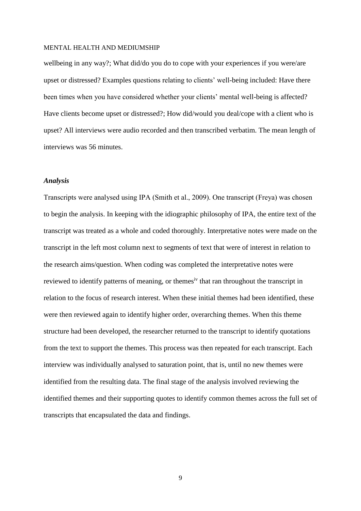wellbeing in any way?; What did/do you do to cope with your experiences if you were/are upset or distressed? Examples questions relating to clients' well-being included: Have there been times when you have considered whether your clients' mental well-being is affected? Have clients become upset or distressed?; How did/would you deal/cope with a client who is upset? All interviews were audio recorded and then transcribed verbatim. The mean length of interviews was 56 minutes.

#### *Analysis*

Transcripts were analysed using IPA (Smith et al., 2009). One transcript (Freya) was chosen to begin the analysis. In keeping with the idiographic philosophy of IPA, the entire text of the transcript was treated as a whole and coded thoroughly. Interpretative notes were made on the transcript in the left most column next to segments of text that were of interest in relation to the research aims/question. When coding was completed the interpretative notes were reviewed to identify patterns of meaning, or themes<sup>iv</sup> that ran throughout the transcript in relation to the focus of research interest. When these initial themes had been identified, these were then reviewed again to identify higher order, overarching themes. When this theme structure had been developed, the researcher returned to the transcript to identify quotations from the text to support the themes. This process was then repeated for each transcript. Each interview was individually analysed to saturation point, that is, until no new themes were identified from the resulting data. The final stage of the analysis involved reviewing the identified themes and their supporting quotes to identify common themes across the full set of transcripts that encapsulated the data and findings.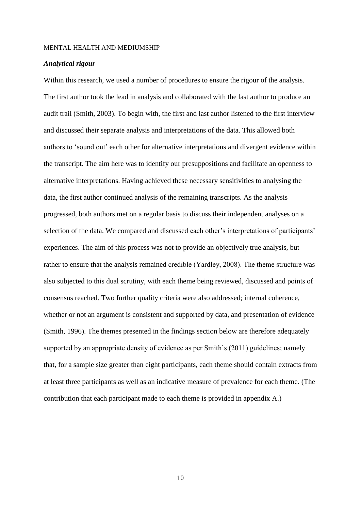### *Analytical rigour*

Within this research, we used a number of procedures to ensure the rigour of the analysis. The first author took the lead in analysis and collaborated with the last author to produce an audit trail (Smith, 2003). To begin with, the first and last author listened to the first interview and discussed their separate analysis and interpretations of the data. This allowed both authors to 'sound out' each other for alternative interpretations and divergent evidence within the transcript. The aim here was to identify our presuppositions and facilitate an openness to alternative interpretations. Having achieved these necessary sensitivities to analysing the data, the first author continued analysis of the remaining transcripts. As the analysis progressed, both authors met on a regular basis to discuss their independent analyses on a selection of the data. We compared and discussed each other's interpretations of participants' experiences. The aim of this process was not to provide an objectively true analysis, but rather to ensure that the analysis remained credible (Yardley, 2008). The theme structure was also subjected to this dual scrutiny, with each theme being reviewed, discussed and points of consensus reached. Two further quality criteria were also addressed; internal coherence, whether or not an argument is consistent and supported by data, and presentation of evidence (Smith, 1996). The themes presented in the findings section below are therefore adequately supported by an appropriate density of evidence as per Smith's (2011) guidelines; namely that, for a sample size greater than eight participants, each theme should contain extracts from at least three participants as well as an indicative measure of prevalence for each theme. (The contribution that each participant made to each theme is provided in appendix A.)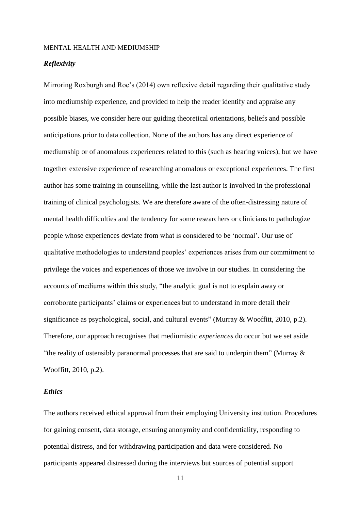# *Reflexivity*

Mirroring Roxburgh and Roe's (2014) own reflexive detail regarding their qualitative study into mediumship experience, and provided to help the reader identify and appraise any possible biases, we consider here our guiding theoretical orientations, beliefs and possible anticipations prior to data collection. None of the authors has any direct experience of mediumship or of anomalous experiences related to this (such as hearing voices), but we have together extensive experience of researching anomalous or exceptional experiences. The first author has some training in counselling, while the last author is involved in the professional training of clinical psychologists. We are therefore aware of the often-distressing nature of mental health difficulties and the tendency for some researchers or clinicians to pathologize people whose experiences deviate from what is considered to be 'normal'. Our use of qualitative methodologies to understand peoples' experiences arises from our commitment to privilege the voices and experiences of those we involve in our studies. In considering the accounts of mediums within this study, "the analytic goal is not to explain away or corroborate participants' claims or experiences but to understand in more detail their significance as psychological, social, and cultural events" (Murray & Wooffitt, 2010, p.2). Therefore, our approach recognises that mediumistic *experiences* do occur but we set aside "the reality of ostensibly paranormal processes that are said to underpin them" (Murray & Wooffitt, 2010, p.2).

#### *Ethics*

The authors received ethical approval from their employing University institution. Procedures for gaining consent, data storage, ensuring anonymity and confidentiality, responding to potential distress, and for withdrawing participation and data were considered. No participants appeared distressed during the interviews but sources of potential support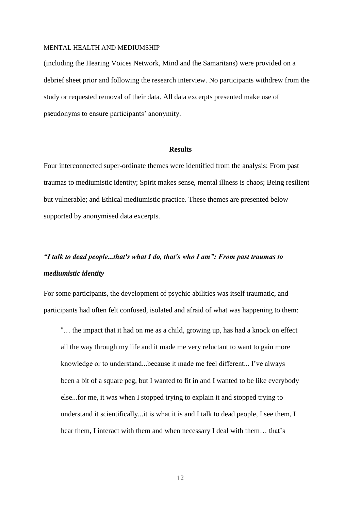(including the Hearing Voices Network, Mind and the Samaritans) were provided on a debrief sheet prior and following the research interview. No participants withdrew from the study or requested removal of their data. All data excerpts presented make use of pseudonyms to ensure participants' anonymity.

# **Results**

Four interconnected super-ordinate themes were identified from the analysis: From past traumas to mediumistic identity; Spirit makes sense, mental illness is chaos; Being resilient but vulnerable; and Ethical mediumistic practice. These themes are presented below supported by anonymised data excerpts.

# *"I talk to dead people...that's what I do, that's who I am": From past traumas to mediumistic identity*

For some participants, the development of psychic abilities was itself traumatic, and participants had often felt confused, isolated and afraid of what was happening to them:

<sup>v</sup>... the impact that it had on me as a child, growing up, has had a knock on effect all the way through my life and it made me very reluctant to want to gain more knowledge or to understand...because it made me feel different... I've always been a bit of a square peg, but I wanted to fit in and I wanted to be like everybody else...for me, it was when I stopped trying to explain it and stopped trying to understand it scientifically...it is what it is and I talk to dead people, I see them, I hear them, I interact with them and when necessary I deal with them... that's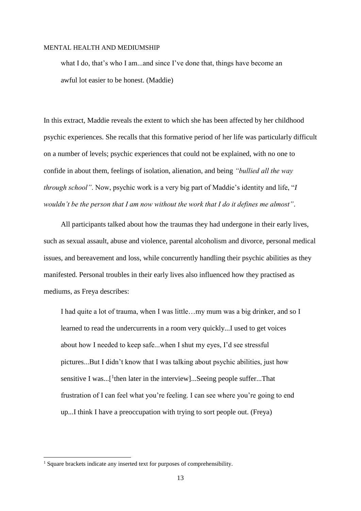what I do, that's who I am...and since I've done that, things have become an awful lot easier to be honest. (Maddie)

In this extract, Maddie reveals the extent to which she has been affected by her childhood psychic experiences. She recalls that this formative period of her life was particularly difficult on a number of levels; psychic experiences that could not be explained, with no one to confide in about them, feelings of isolation, alienation, and being *"bullied all the way through school"*. Now, psychic work is a very big part of Maddie's identity and life, "*I wouldn't be the person that I am now without the work that I do it defines me almost"*.

All participants talked about how the traumas they had undergone in their early lives, such as sexual assault, abuse and violence, parental alcoholism and divorce, personal medical issues, and bereavement and loss, while concurrently handling their psychic abilities as they manifested. Personal troubles in their early lives also influenced how they practised as mediums, as Freya describes:

I had quite a lot of trauma, when I was little…my mum was a big drinker, and so I learned to read the undercurrents in a room very quickly...I used to get voices about how I needed to keep safe...when I shut my eyes, I'd see stressful pictures...But I didn't know that I was talking about psychic abilities, just how sensitive I was...<sup>[1</sup>then later in the interview]...Seeing people suffer...That frustration of I can feel what you're feeling. I can see where you're going to end up...I think I have a preoccupation with trying to sort people out. (Freya)

-

<sup>&</sup>lt;sup>1</sup> Square brackets indicate any inserted text for purposes of comprehensibility.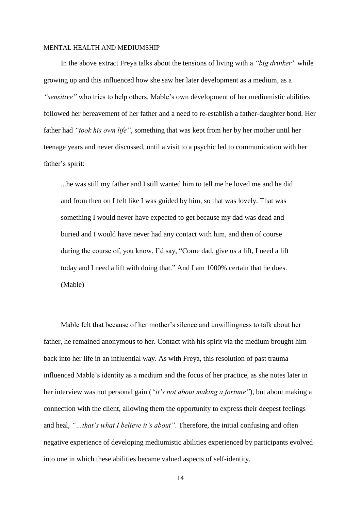In the above extract Freya talks about the tensions of living with a *"big drinker"* while growing up and this influenced how she saw her later development as a medium, as a *"sensitive"* who tries to help others. Mable's own development of her mediumistic abilities followed her bereavement of her father and a need to re-establish a father-daughter bond. Her father had *"took his own life"*, something that was kept from her by her mother until her teenage years and never discussed, until a visit to a psychic led to communication with her father's spirit:

...he was still my father and I still wanted him to tell me he loved me and he did and from then on I felt like I was guided by him, so that was lovely. That was something I would never have expected to get because my dad was dead and buried and I would have never had any contact with him, and then of course during the course of, you know, I'd say, "Come dad, give us a lift, I need a lift today and I need a lift with doing that." And I am 1000% certain that he does. (Mable)

Mable felt that because of her mother's silence and unwillingness to talk about her father, he remained anonymous to her. Contact with his spirit via the medium brought him back into her life in an influential way. As with Freya, this resolution of past trauma influenced Mable's identity as a medium and the focus of her practice, as she notes later in her interview was not personal gain (*"it's not about making a fortune"*), but about making a connection with the client, allowing them the opportunity to express their deepest feelings and heal, *"…that's what I believe it's about"*. Therefore, the initial confusing and often negative experience of developing mediumistic abilities experienced by participants evolved into one in which these abilities became valued aspects of self-identity.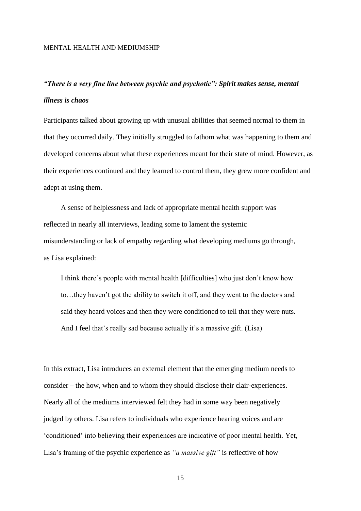# *"There is a very fine line between psychic and psychotic": Spirit makes sense, mental illness is chaos*

Participants talked about growing up with unusual abilities that seemed normal to them in that they occurred daily. They initially struggled to fathom what was happening to them and developed concerns about what these experiences meant for their state of mind. However, as their experiences continued and they learned to control them, they grew more confident and adept at using them.

A sense of helplessness and lack of appropriate mental health support was reflected in nearly all interviews, leading some to lament the systemic misunderstanding or lack of empathy regarding what developing mediums go through, as Lisa explained:

I think there's people with mental health [difficulties] who just don't know how to…they haven't got the ability to switch it off, and they went to the doctors and said they heard voices and then they were conditioned to tell that they were nuts. And I feel that's really sad because actually it's a massive gift. (Lisa)

In this extract, Lisa introduces an external element that the emerging medium needs to consider – the how, when and to whom they should disclose their clair-experiences. Nearly all of the mediums interviewed felt they had in some way been negatively judged by others. Lisa refers to individuals who experience hearing voices and are 'conditioned' into believing their experiences are indicative of poor mental health. Yet, Lisa's framing of the psychic experience as *"a massive gift"* is reflective of how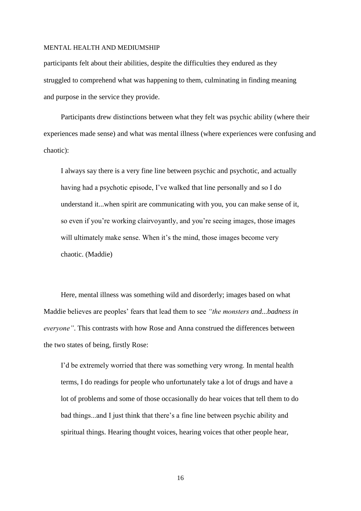participants felt about their abilities, despite the difficulties they endured as they struggled to comprehend what was happening to them, culminating in finding meaning and purpose in the service they provide.

Participants drew distinctions between what they felt was psychic ability (where their experiences made sense) and what was mental illness (where experiences were confusing and chaotic):

I always say there is a very fine line between psychic and psychotic, and actually having had a psychotic episode, I've walked that line personally and so I do understand it...when spirit are communicating with you, you can make sense of it, so even if you're working clairvoyantly, and you're seeing images, those images will ultimately make sense. When it's the mind, those images become very chaotic. (Maddie)

Here, mental illness was something wild and disorderly; images based on what Maddie believes are peoples' fears that lead them to see *"the monsters and...badness in everyone"*. This contrasts with how Rose and Anna construed the differences between the two states of being, firstly Rose:

I'd be extremely worried that there was something very wrong. In mental health terms, I do readings for people who unfortunately take a lot of drugs and have a lot of problems and some of those occasionally do hear voices that tell them to do bad things...and I just think that there's a fine line between psychic ability and spiritual things. Hearing thought voices, hearing voices that other people hear,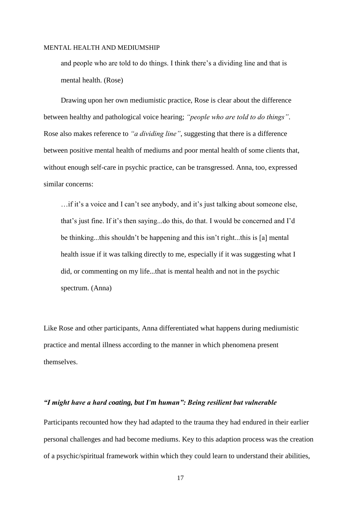and people who are told to do things. I think there's a dividing line and that is mental health. (Rose)

Drawing upon her own mediumistic practice, Rose is clear about the difference between healthy and pathological voice hearing; *"people who are told to do things"*. Rose also makes reference to *"a dividing line"*, suggesting that there is a difference between positive mental health of mediums and poor mental health of some clients that, without enough self-care in psychic practice, can be transgressed. Anna, too, expressed similar concerns:

…if it's a voice and I can't see anybody, and it's just talking about someone else, that's just fine. If it's then saying...do this, do that. I would be concerned and I'd be thinking...this shouldn't be happening and this isn't right...this is [a] mental health issue if it was talking directly to me, especially if it was suggesting what I did, or commenting on my life...that is mental health and not in the psychic spectrum. (Anna)

Like Rose and other participants, Anna differentiated what happens during mediumistic practice and mental illness according to the manner in which phenomena present themselves.

## *"I might have a hard coating, but I'm human": Being resilient but vulnerable*

Participants recounted how they had adapted to the trauma they had endured in their earlier personal challenges and had become mediums. Key to this adaption process was the creation of a psychic/spiritual framework within which they could learn to understand their abilities,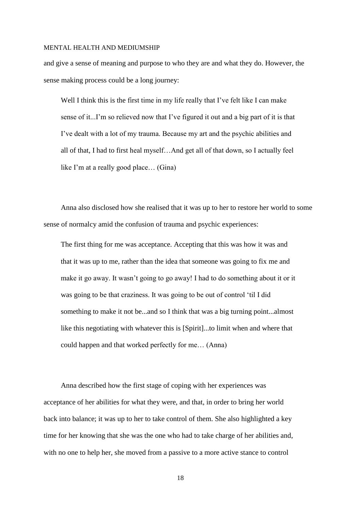and give a sense of meaning and purpose to who they are and what they do. However, the sense making process could be a long journey:

Well I think this is the first time in my life really that I've felt like I can make sense of it...I'm so relieved now that I've figured it out and a big part of it is that I've dealt with a lot of my trauma. Because my art and the psychic abilities and all of that, I had to first heal myself…And get all of that down, so I actually feel like I'm at a really good place… (Gina)

Anna also disclosed how she realised that it was up to her to restore her world to some sense of normalcy amid the confusion of trauma and psychic experiences:

The first thing for me was acceptance. Accepting that this was how it was and that it was up to me, rather than the idea that someone was going to fix me and make it go away. It wasn't going to go away! I had to do something about it or it was going to be that craziness. It was going to be out of control 'til I did something to make it not be...and so I think that was a big turning point...almost like this negotiating with whatever this is [Spirit]...to limit when and where that could happen and that worked perfectly for me… (Anna)

Anna described how the first stage of coping with her experiences was acceptance of her abilities for what they were, and that, in order to bring her world back into balance; it was up to her to take control of them. She also highlighted a key time for her knowing that she was the one who had to take charge of her abilities and, with no one to help her, she moved from a passive to a more active stance to control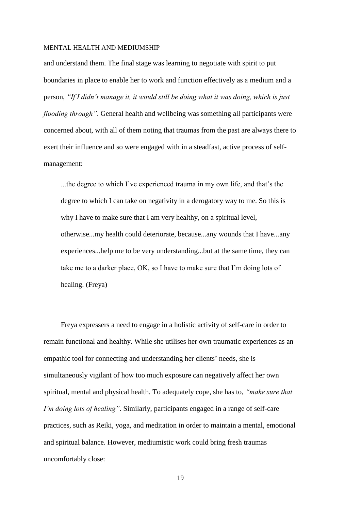and understand them. The final stage was learning to negotiate with spirit to put boundaries in place to enable her to work and function effectively as a medium and a person, *"If I didn't manage it, it would still be doing what it was doing, which is just flooding through"*. General health and wellbeing was something all participants were concerned about, with all of them noting that traumas from the past are always there to exert their influence and so were engaged with in a steadfast, active process of selfmanagement:

...the degree to which I've experienced trauma in my own life, and that's the degree to which I can take on negativity in a derogatory way to me. So this is why I have to make sure that I am very healthy, on a spiritual level, otherwise...my health could deteriorate, because...any wounds that I have...any experiences...help me to be very understanding...but at the same time, they can take me to a darker place, OK, so I have to make sure that I'm doing lots of healing. (Freya)

Freya expressers a need to engage in a holistic activity of self-care in order to remain functional and healthy. While she utilises her own traumatic experiences as an empathic tool for connecting and understanding her clients' needs, she is simultaneously vigilant of how too much exposure can negatively affect her own spiritual, mental and physical health. To adequately cope, she has to, *"make sure that I'm doing lots of healing"*. Similarly, participants engaged in a range of self-care practices, such as Reiki, yoga, and meditation in order to maintain a mental, emotional and spiritual balance. However, mediumistic work could bring fresh traumas uncomfortably close: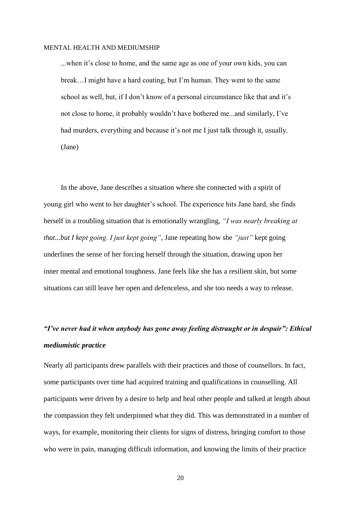...when it's close to home, and the same age as one of your own kids, you can break…I might have a hard coating, but I'm human. They went to the same school as well, but, if I don't know of a personal circumstance like that and it's not close to home, it probably wouldn't have bothered me...and similarly, I've had murders, everything and because it's not me I just talk through it, usually. (Jane)

In the above, Jane describes a situation where she connected with a spirit of young girl who went to her daughter's school. The experience hits Jane hard, she finds herself in a troubling situation that is emotionally wrangling, *"I was nearly breaking at that...but I kept going. I just kept going"*, Jane repeating how she *"just"* kept going underlines the sense of her forcing herself through the situation, drawing upon her inner mental and emotional toughness. Jane feels like she has a resilient skin, but some situations can still leave her open and defenceless, and she too needs a way to release.

# *"I've never had it when anybody has gone away feeling distraught or in despair": Ethical mediumistic practice*

Nearly all participants drew parallels with their practices and those of counsellors. In fact, some participants over time had acquired training and qualifications in counselling. All participants were driven by a desire to help and heal other people and talked at length about the compassion they felt underpinned what they did. This was demonstrated in a number of ways, for example, monitoring their clients for signs of distress, bringing comfort to those who were in pain, managing difficult information, and knowing the limits of their practice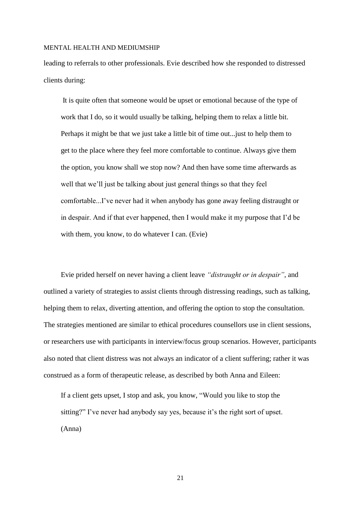leading to referrals to other professionals. Evie described how she responded to distressed clients during:

It is quite often that someone would be upset or emotional because of the type of work that I do, so it would usually be talking, helping them to relax a little bit. Perhaps it might be that we just take a little bit of time out...just to help them to get to the place where they feel more comfortable to continue. Always give them the option, you know shall we stop now? And then have some time afterwards as well that we'll just be talking about just general things so that they feel comfortable...I've never had it when anybody has gone away feeling distraught or in despair. And if that ever happened, then I would make it my purpose that I'd be with them, you know, to do whatever I can. (Evie)

Evie prided herself on never having a client leave *"distraught or in despair"*, and outlined a variety of strategies to assist clients through distressing readings, such as talking, helping them to relax, diverting attention, and offering the option to stop the consultation. The strategies mentioned are similar to ethical procedures counsellors use in client sessions, or researchers use with participants in interview/focus group scenarios. However, participants also noted that client distress was not always an indicator of a client suffering; rather it was construed as a form of therapeutic release, as described by both Anna and Eileen:

If a client gets upset, I stop and ask, you know, "Would you like to stop the sitting?" I've never had anybody say yes, because it's the right sort of upset. (Anna)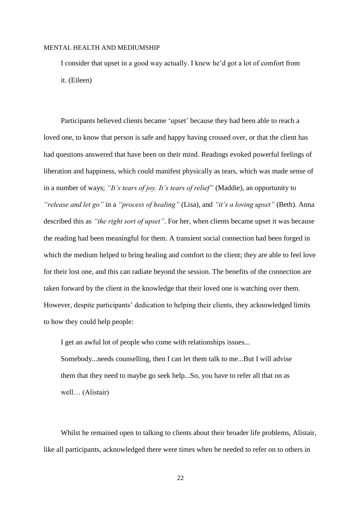I consider that upset in a good way actually. I knew he'd got a lot of comfort from it. (Eileen)

Participants believed clients became 'upset' because they had been able to reach a loved one, to know that person is safe and happy having crossed over, or that the client has had questions answered that have been on their mind. Readings evoked powerful feelings of liberation and happiness, which could manifest physically as tears, which was made sense of in a number of ways; *"It's tears of joy. It's tears of relief"* (Maddie), an opportunity to *"release and let go"* in a *"process of healing"* (Lisa), and *"it's a loving upset"* (Beth). Anna described this as *"the right sort of upset"*. For her, when clients became upset it was because the reading had been meaningful for them. A transient social connection had been forged in which the medium helped to bring healing and comfort to the client; they are able to feel love for their lost one, and this can radiate beyond the session. The benefits of the connection are taken forward by the client in the knowledge that their loved one is watching over them. However, despite participants' dedication to helping their clients, they acknowledged limits to how they could help people:

I get an awful lot of people who come with relationships issues... Somebody...needs counselling, then I can let them talk to me...But I will advise them that they need to maybe go seek help...So, you have to refer all that on as well… (Alistair)

Whilst he remained open to talking to clients about their broader life problems, Alistair, like all participants, acknowledged there were times when he needed to refer on to others in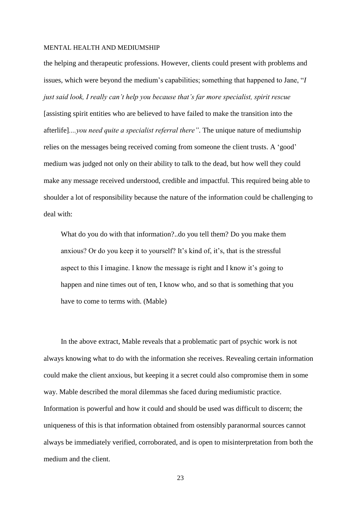the helping and therapeutic professions. However, clients could present with problems and issues, which were beyond the medium's capabilities; something that happened to Jane, "*I just said look, I really can't help you because that's far more specialist, spirit rescue*  [assisting spirit entities who are believed to have failed to make the transition into the afterlife]*....you need quite a specialist referral there"*. The unique nature of mediumship relies on the messages being received coming from someone the client trusts. A 'good' medium was judged not only on their ability to talk to the dead, but how well they could make any message received understood, credible and impactful. This required being able to shoulder a lot of responsibility because the nature of the information could be challenging to deal with:

What do you do with that information?..do you tell them? Do you make them anxious? Or do you keep it to yourself? It's kind of, it's, that is the stressful aspect to this I imagine. I know the message is right and I know it's going to happen and nine times out of ten, I know who, and so that is something that you have to come to terms with. (Mable)

In the above extract, Mable reveals that a problematic part of psychic work is not always knowing what to do with the information she receives. Revealing certain information could make the client anxious, but keeping it a secret could also compromise them in some way. Mable described the moral dilemmas she faced during mediumistic practice. Information is powerful and how it could and should be used was difficult to discern; the uniqueness of this is that information obtained from ostensibly paranormal sources cannot always be immediately verified, corroborated, and is open to misinterpretation from both the medium and the client.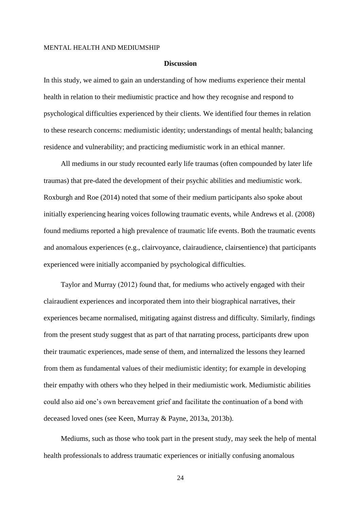#### **Discussion**

In this study, we aimed to gain an understanding of how mediums experience their mental health in relation to their mediumistic practice and how they recognise and respond to psychological difficulties experienced by their clients. We identified four themes in relation to these research concerns: mediumistic identity; understandings of mental health; balancing residence and vulnerability; and practicing mediumistic work in an ethical manner.

All mediums in our study recounted early life traumas (often compounded by later life traumas) that pre-dated the development of their psychic abilities and mediumistic work. Roxburgh and Roe (2014) noted that some of their medium participants also spoke about initially experiencing hearing voices following traumatic events, while Andrews et al. (2008) found mediums reported a high prevalence of traumatic life events. Both the traumatic events and anomalous experiences (e.g., clairvoyance, clairaudience, clairsentience) that participants experienced were initially accompanied by psychological difficulties.

Taylor and Murray (2012) found that, for mediums who actively engaged with their clairaudient experiences and incorporated them into their biographical narratives, their experiences became normalised, mitigating against distress and difficulty. Similarly, findings from the present study suggest that as part of that narrating process, participants drew upon their traumatic experiences, made sense of them, and internalized the lessons they learned from them as fundamental values of their mediumistic identity; for example in developing their empathy with others who they helped in their mediumistic work. Mediumistic abilities could also aid one's own bereavement grief and facilitate the continuation of a bond with deceased loved ones (see Keen, Murray & Payne, 2013a, 2013b).

Mediums, such as those who took part in the present study, may seek the help of mental health professionals to address traumatic experiences or initially confusing anomalous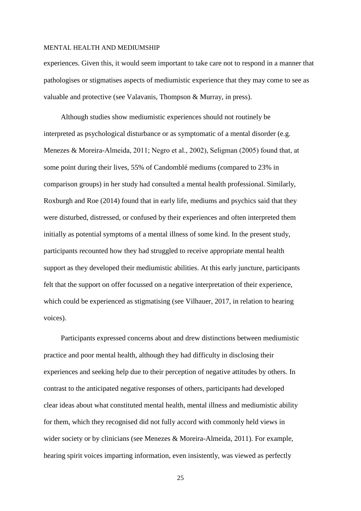experiences. Given this, it would seem important to take care not to respond in a manner that pathologises or stigmatises aspects of mediumistic experience that they may come to see as valuable and protective (see Valavanis, Thompson & Murray, in press).

Although studies show mediumistic experiences should not routinely be interpreted as psychological disturbance or as symptomatic of a mental disorder (e.g. Menezes & Moreira-Almeida, 2011; Negro et al., 2002), Seligman (2005) found that, at some point during their lives, 55% of Candomblé mediums (compared to 23% in comparison groups) in her study had consulted a mental health professional. Similarly, Roxburgh and Roe (2014) found that in early life, mediums and psychics said that they were disturbed, distressed, or confused by their experiences and often interpreted them initially as potential symptoms of a mental illness of some kind. In the present study, participants recounted how they had struggled to receive appropriate mental health support as they developed their mediumistic abilities. At this early juncture, participants felt that the support on offer focussed on a negative interpretation of their experience, which could be experienced as stigmatising (see Vilhauer, 2017, in relation to hearing voices).

Participants expressed concerns about and drew distinctions between mediumistic practice and poor mental health, although they had difficulty in disclosing their experiences and seeking help due to their perception of negative attitudes by others. In contrast to the anticipated negative responses of others, participants had developed clear ideas about what constituted mental health, mental illness and mediumistic ability for them, which they recognised did not fully accord with commonly held views in wider society or by clinicians (see Menezes & Moreira-Almeida, 2011). For example, hearing spirit voices imparting information, even insistently, was viewed as perfectly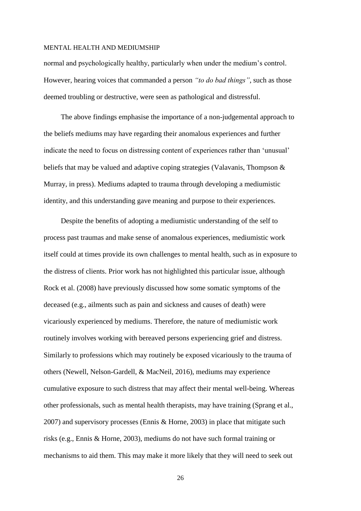normal and psychologically healthy, particularly when under the medium's control. However, hearing voices that commanded a person *"to do bad things"*, such as those deemed troubling or destructive, were seen as pathological and distressful.

The above findings emphasise the importance of a non-judgemental approach to the beliefs mediums may have regarding their anomalous experiences and further indicate the need to focus on distressing content of experiences rather than 'unusual' beliefs that may be valued and adaptive coping strategies (Valavanis, Thompson & Murray, in press). Mediums adapted to trauma through developing a mediumistic identity, and this understanding gave meaning and purpose to their experiences.

Despite the benefits of adopting a mediumistic understanding of the self to process past traumas and make sense of anomalous experiences, mediumistic work itself could at times provide its own challenges to mental health, such as in exposure to the distress of clients. Prior work has not highlighted this particular issue, although Rock et al. (2008) have previously discussed how some somatic symptoms of the deceased (e.g., ailments such as pain and sickness and causes of death) were vicariously experienced by mediums. Therefore, the nature of mediumistic work routinely involves working with bereaved persons experiencing grief and distress. Similarly to professions which may routinely be exposed vicariously to the trauma of others (Newell, Nelson-Gardell, & MacNeil, 2016), mediums may experience cumulative exposure to such distress that may affect their mental well-being. Whereas other professionals, such as mental health therapists, may have training (Sprang et al., 2007) and supervisory processes (Ennis & Horne, 2003) in place that mitigate such risks (e.g., Ennis & Horne, 2003), mediums do not have such formal training or mechanisms to aid them. This may make it more likely that they will need to seek out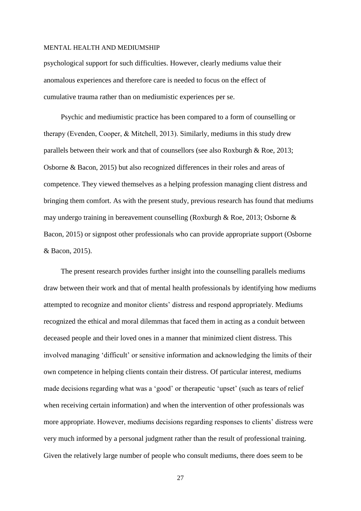psychological support for such difficulties. However, clearly mediums value their anomalous experiences and therefore care is needed to focus on the effect of cumulative trauma rather than on mediumistic experiences per se.

Psychic and mediumistic practice has been compared to a form of counselling or therapy (Evenden, Cooper, & Mitchell, 2013). Similarly, mediums in this study drew parallels between their work and that of counsellors (see also Roxburgh & Roe, 2013; Osborne & Bacon, 2015) but also recognized differences in their roles and areas of competence. They viewed themselves as a helping profession managing client distress and bringing them comfort. As with the present study, previous research has found that mediums may undergo training in bereavement counselling (Roxburgh & Roe, 2013; Osborne & Bacon, 2015) or signpost other professionals who can provide appropriate support (Osborne & Bacon, 2015).

The present research provides further insight into the counselling parallels mediums draw between their work and that of mental health professionals by identifying how mediums attempted to recognize and monitor clients' distress and respond appropriately. Mediums recognized the ethical and moral dilemmas that faced them in acting as a conduit between deceased people and their loved ones in a manner that minimized client distress. This involved managing 'difficult' or sensitive information and acknowledging the limits of their own competence in helping clients contain their distress. Of particular interest, mediums made decisions regarding what was a 'good' or therapeutic 'upset' (such as tears of relief when receiving certain information) and when the intervention of other professionals was more appropriate. However, mediums decisions regarding responses to clients' distress were very much informed by a personal judgment rather than the result of professional training. Given the relatively large number of people who consult mediums, there does seem to be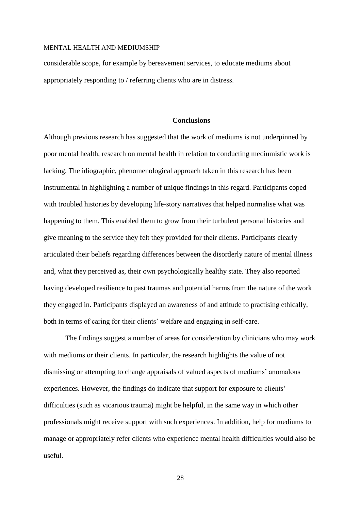considerable scope, for example by bereavement services, to educate mediums about appropriately responding to / referring clients who are in distress.

#### **Conclusions**

Although previous research has suggested that the work of mediums is not underpinned by poor mental health, research on mental health in relation to conducting mediumistic work is lacking. The idiographic, phenomenological approach taken in this research has been instrumental in highlighting a number of unique findings in this regard. Participants coped with troubled histories by developing life-story narratives that helped normalise what was happening to them. This enabled them to grow from their turbulent personal histories and give meaning to the service they felt they provided for their clients. Participants clearly articulated their beliefs regarding differences between the disorderly nature of mental illness and, what they perceived as, their own psychologically healthy state. They also reported having developed resilience to past traumas and potential harms from the nature of the work they engaged in. Participants displayed an awareness of and attitude to practising ethically, both in terms of caring for their clients' welfare and engaging in self-care.

The findings suggest a number of areas for consideration by clinicians who may work with mediums or their clients. In particular, the research highlights the value of not dismissing or attempting to change appraisals of valued aspects of mediums' anomalous experiences. However, the findings do indicate that support for exposure to clients' difficulties (such as vicarious trauma) might be helpful, in the same way in which other professionals might receive support with such experiences. In addition, help for mediums to manage or appropriately refer clients who experience mental health difficulties would also be useful.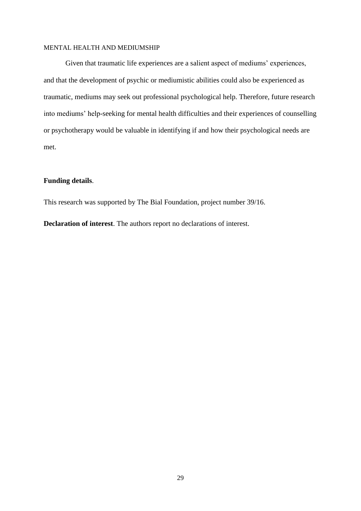Given that traumatic life experiences are a salient aspect of mediums' experiences, and that the development of psychic or mediumistic abilities could also be experienced as traumatic, mediums may seek out professional psychological help. Therefore, future research into mediums' help-seeking for mental health difficulties and their experiences of counselling or psychotherapy would be valuable in identifying if and how their psychological needs are met.

# **Funding details**.

This research was supported by The Bial Foundation, project number 39/16.

**Declaration of interest**. The authors report no declarations of interest.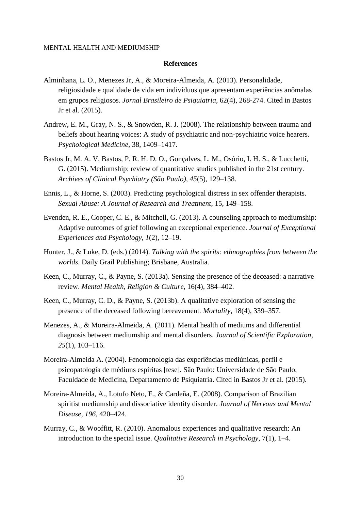#### **References**

- Alminhana, L. O., Menezes Jr, A., & Moreira-Almeida, A. (2013). Personalidade, religiosidade e qualidade de vida em indivíduos que apresentam experiências anômalas em grupos religiosos. *Jornal Brasileiro de Psiquiatria*, 62(4), 268-274. Cited in Bastos Jr et al. (2015).
- Andrew, E. M., Gray, N. S., & Snowden, R. J. (2008). The relationship between trauma and beliefs about hearing voices: A study of psychiatric and non-psychiatric voice hearers. *Psychological Medicine*, 38, 1409–1417.
- Bastos Jr, M. A. V, Bastos, P. R. H. D. O., Gonçalves, L. M., Osório, I. H. S., & Lucchetti, G. (2015). Mediumship: review of quantitative studies published in the 21st century. *Archives of Clinical Psychiatry (São Paulo)*, *45*(5), 129–138.
- Ennis, L., & Horne, S. (2003). Predicting psychological distress in sex offender therapists. *Sexual Abuse: A Journal of Research and Treatment*, 15, 149–158.
- Evenden, R. E., Cooper, C. E., & Mitchell, G. (2013). A counseling approach to mediumship: Adaptive outcomes of grief following an exceptional experience. *Journal of Exceptional Experiences and Psychology*, *1*(2), 12–19.
- Hunter, J., & Luke, D. (eds.) (2014). *Talking with the spirits: ethnographies from between the worlds*. Daily Grail Publishing; Brisbane, Australia.
- Keen, C., Murray, C., & Payne, S. (2013a). Sensing the presence of the deceased: a narrative review. *Mental Health, Religion & Culture*, 16(4), 384–402.
- Keen, C., Murray, C. D., & Payne, S. (2013b). A qualitative exploration of sensing the presence of the deceased following bereavement. *Mortality*, 18(4), 339–357.
- Menezes, A., & Moreira-Almeida, A. (2011). Mental health of mediums and differential diagnosis between mediumship and mental disorders. *Journal of Scientific Exploration*, *25*(1), 103–116.
- Moreira-Almeida A. (2004). Fenomenologia das experiências mediúnicas, perfil e psicopatologia de médiuns espíritas [tese]. São Paulo: Universidade de São Paulo, Faculdade de Medicina, Departamento de Psiquiatria. Cited in Bastos Jr et al. (2015).
- Moreira-Almeida, A., Lotufo Neto, F., & Cardeña, E. (2008). Comparison of Brazilian spiritist mediumship and dissociative identity disorder. *Journal of Nervous and Mental Disease*, *196*, 420–424.
- Murray, C., & Wooffitt, R. (2010). Anomalous experiences and qualitative research: An introduction to the special issue. *Qualitative Research in Psychology*, 7(1), 1–4.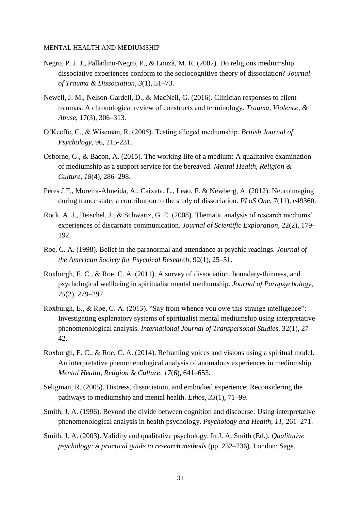- Negro, P. J. J., Palladino-Negro, P., & Louzã, M. R. (2002). Do religious mediumship dissociative experiences conform to the sociocognitive theory of dissociation? *Journal of Trauma & Dissociation*, *3*(1), 51–73.
- Newell, J. M., Nelson-Gardell, D., & MacNeil, G. (2016). Clinician responses to client traumas: A chronological review of constructs and terminology. *Trauma, Violence, & Abuse*, 17(3), 306–313.
- O'Keeffe, C., & Wiseman, R. (2005). Testing alleged mediumship. *British Journal of Psychology*, 96, 215-231.
- Osborne, G., & Bacon, A. (2015). The working life of a medium: A qualitative examination of mediumship as a support service for the bereaved. *Mental Health, Religion & Culture*, *18*(4), 286–298.
- Peres J.F., Moreira-Almeida, A., Caixeta, L., Leao, F. & Newberg, A. (2012). Neuroimaging during trance state: a contribution to the study of dissociation. *PLoS One,* 7(11), e49360.
- Rock, A. J., Beischel, J., & Schwartz, G. E. (2008). Thematic analysis of research mediums' experiences of discarnate communication. *Journal of Scientific Exploration*, 22(2), 179- 192.
- Roe, C. A. (1998). Belief in the paranormal and attendance at psychic readings. *Journal of the American Society for Psychical Research*, 92(1), 25–51.
- Roxburgh, E. C., & Roe, C. A. (2011). A survey of dissociation, boundary-thinness, and psychological wellbeing in spiritualist mental mediumship. *Journal of Parapsychology*, *75*(2), 279–297.
- Roxburgh, E., & Roe, C. A. (2013). "Say from whence you owe this strange intelligence": Investigating explanatory systems of spiritualist mental mediumship using interpretative phenomenological analysis. *International Journal of Transpersonal Studies*, 32(1), 27– 42.
- Roxburgh, E. C., & Roe, C. A. (2014). Reframing voices and visions using a spiritual model. An interpretative phenomenological analysis of anomalous experiences in mediumship. *Mental Health, Religion & Culture*, *17*(6), 641–653.
- Seligman, R. (2005). Distress, dissociation, and embodied experience: Reconsidering the pathways to mediumship and mental health. *Ethos*, *33*(1), 71–99.
- Smith, J. A. (1996). Beyond the divide between cognition and discourse: Using interpretative phenomenological analysis in health psychology. *Psychology and Health*, *11*, 261–271.
- Smith, J. A. (2003). Validity and qualitative psychology. In J. A. Smith (Ed.), *Qualitative psychology: A practical guide to research methods* (pp. 232–236). London: Sage.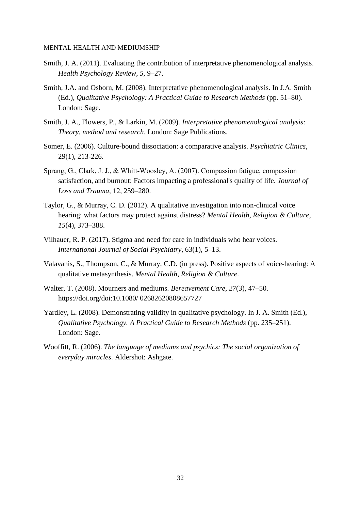- Smith, J. A. (2011). Evaluating the contribution of interpretative phenomenological analysis. *Health Psychology Review*, *5*, 9–27.
- Smith, J.A. and Osborn, M. (2008). Interpretative phenomenological analysis. In J.A. Smith (Ed.), *Qualitative Psychology: A Practical Guide to Research Methods* (pp. 51–80). London: Sage.
- Smith, J. A., Flowers, P., & Larkin, M. (2009). *Interpretative phenomenological analysis: Theory, method and research*. London: Sage Publications.
- Somer, E. (2006). Culture-bound dissociation: a comparative analysis. *Psychiatric Clinics*, 29(1), 213-226.
- Sprang, G., Clark, J. J., & Whitt‐Woosley, A. (2007). Compassion fatigue, compassion satisfaction, and burnout: Factors impacting a professional's quality of life. *Journal of Loss and Trauma*, 12, 259–280.
- Taylor, G., & Murray, C. D. (2012). A qualitative investigation into non-clinical voice hearing: what factors may protect against distress? *Mental Health, Religion & Culture*, *15*(4), 373–388.
- Vilhauer, R. P. (2017). Stigma and need for care in individuals who hear voices. *International Journal of Social Psychiatry*, 63(1), 5–13.
- Valavanis, S., Thompson, C., & Murray, C.D. (in press). Positive aspects of voice-hearing: A qualitative metasynthesis. *Mental Health, Religion & Culture*.
- Walter, T. (2008). Mourners and mediums. *Bereavement Care*, *27*(3), 47–50. https://doi.org/doi:10.1080/ 02682620808657727
- Yardley, L. (2008). Demonstrating validity in qualitative psychology. In J. A. Smith (Ed.), *Qualitative Psychology. A Practical Guide to Research Methods* (pp. 235–251). London: Sage.
- Wooffitt, R. (2006). *The language of mediums and psychics: The social organization of everyday miracles*. Aldershot: Ashgate.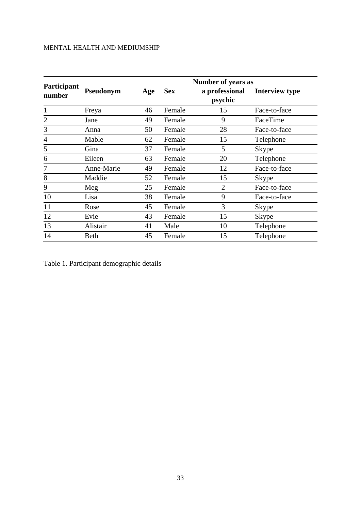|                       |             |     | <b>Number of years as</b> |                |                       |  |  |
|-----------------------|-------------|-----|---------------------------|----------------|-----------------------|--|--|
| Participant<br>number | Pseudonym   | Age | <b>Sex</b>                | a professional | <b>Interview type</b> |  |  |
|                       |             |     |                           | psychic        |                       |  |  |
| 1                     | Freya       | 46  | Female                    | 15             | Face-to-face          |  |  |
| $\overline{2}$        | Jane        | 49  | Female                    | 9              | FaceTime              |  |  |
| 3                     | Anna        | 50  | Female                    | 28             | Face-to-face          |  |  |
| 4                     | Mable       | 62  | Female                    | 15             | Telephone             |  |  |
| 5                     | Gina        | 37  | Female                    | 5              | <b>Skype</b>          |  |  |
| 6                     | Eileen      | 63  | Female                    | 20             | Telephone             |  |  |
| 7                     | Anne-Marie  | 49  | Female                    | 12             | Face-to-face          |  |  |
| 8                     | Maddie      | 52  | Female                    | 15             | <b>Skype</b>          |  |  |
| 9                     | Meg         | 25  | Female                    | $\overline{2}$ | Face-to-face          |  |  |
| 10                    | Lisa        | 38  | Female                    | 9              | Face-to-face          |  |  |
| 11                    | Rose        | 45  | Female                    | 3              | Skype                 |  |  |
| 12                    | Evie        | 43  | Female                    | 15             | <b>Skype</b>          |  |  |
| 13                    | Alistair    | 41  | Male                      | 10             | Telephone             |  |  |
| 14                    | <b>Beth</b> | 45  | Female                    | 15             | Telephone             |  |  |

Table 1. Participant demographic details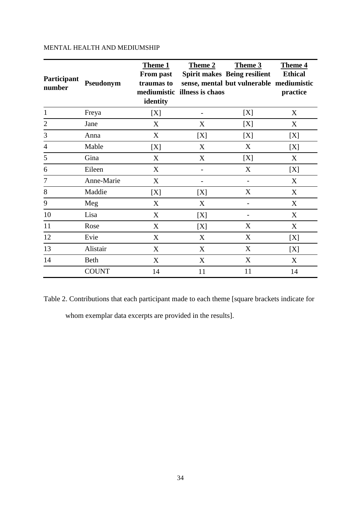| Participant<br>number | Pseudonym    | <b>Theme 1</b><br>From past<br>traumas to<br>identity | <b>Theme 2</b><br>mediumistic illness is chaos | <b>Theme 3</b><br><b>Spirit makes Being resilient</b><br>sense, mental but vulnerable mediumistic | <b>Theme 4</b><br><b>Ethical</b><br>practice |
|-----------------------|--------------|-------------------------------------------------------|------------------------------------------------|---------------------------------------------------------------------------------------------------|----------------------------------------------|
| $\mathbf{1}$          | Freya        | [X]                                                   | $\overline{\phantom{a}}$                       | [X]                                                                                               | X                                            |
| $\overline{c}$        | Jane         | X                                                     | X                                              | [X]                                                                                               | X                                            |
| 3                     | Anna         | X                                                     | [X]                                            | [X]                                                                                               | [X]                                          |
| $\overline{4}$        | Mable        | [X]                                                   | X                                              | X                                                                                                 | [X]                                          |
| 5                     | Gina         | X                                                     | X                                              | [X]                                                                                               | X                                            |
| 6                     | Eileen       | X                                                     |                                                | X                                                                                                 | [X]                                          |
| 7                     | Anne-Marie   | X                                                     |                                                |                                                                                                   | X                                            |
| 8                     | Maddie       | [X]                                                   | [X]                                            | X                                                                                                 | X                                            |
| 9                     | Meg          | X                                                     | X                                              |                                                                                                   | X                                            |
| 10                    | Lisa         | X                                                     | [X]                                            |                                                                                                   | X                                            |
| 11                    | Rose         | X                                                     | [X]                                            | X                                                                                                 | X                                            |
| 12                    | Evie         | X                                                     | X                                              | X                                                                                                 | [X]                                          |
| 13                    | Alistair     | X                                                     | X                                              | X                                                                                                 | [X]                                          |
| 14                    | Beth         | X                                                     | X                                              | X                                                                                                 | X                                            |
|                       | <b>COUNT</b> | 14                                                    | 11                                             | 11                                                                                                | 14                                           |

Table 2. Contributions that each participant made to each theme [square brackets indicate for whom exemplar data excerpts are provided in the results].